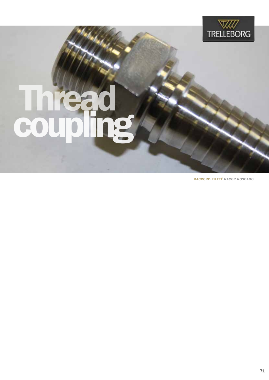

## Thread coupling

**RACCORD FILETÉ RACOR ROSCADO**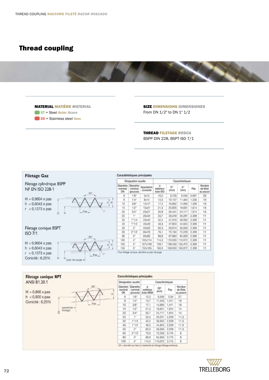## Thread coupling



MATERIAL MATIÈRE *MATERIAL* ST = Steel Acier *Acero* SS = Stainless steel Inox

SIZE DIMENSIONS *DIMENSIONES* From DN 1/2″ to DN 1″ 1/2

THREAD FILETAGE *ROSCA* BSPP DIN 228, BSPT ISO 7/1





· E0 = diamètre sur fianc à l'extrémité du flietage (flietage extérieur).

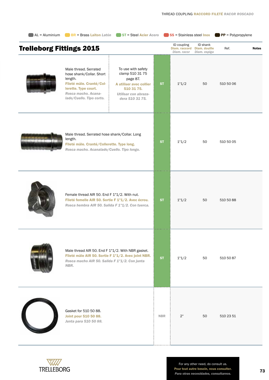| AL = Aluminium                  | $B = Bras$ <b>Example 1 Example 1 EXAMPLE 121 <b>EXAMPLE 121 PER</b></b>                                                                                            | ST = Steel Acier Acero                                                                                                                |            | SS = Stainless steel lnox                   |                                           | $\blacksquare$ PP = Polypropylene |              |
|---------------------------------|---------------------------------------------------------------------------------------------------------------------------------------------------------------------|---------------------------------------------------------------------------------------------------------------------------------------|------------|---------------------------------------------|-------------------------------------------|-----------------------------------|--------------|
| <b>Trelleborg Fittings 2015</b> |                                                                                                                                                                     |                                                                                                                                       |            | ID coupling<br>Diam. raccord<br>Diam. racor | ID shank<br>Diam. douille<br>Diam. espiga | Ref.                              | <b>Notes</b> |
|                                 | Male thread. Serrated<br>hose shank/Collar. Short<br>length.<br>Fileté mâle. Cranté/Col-<br>lerette. Type court.<br>Rosca macho, Acana-<br>lado/Cuello. Tipo corto. | To use with safety<br>clamp 510 31 75<br>page 87.<br>A utiliser avec collier<br>510 31 75.<br>Utilisar con abraza-<br>dera 510 31 75. | <b>ST</b>  | 1"1/2                                       | 50                                        | 510 50 06                         |              |
|                                 | Male thread. Serrated hose shank/Collar. Long<br>length.<br>Fileté mâle. Cranté/Collerette. Type long.<br>Rosca macho. Acanalado/Cuello. Tipo longo.                |                                                                                                                                       | <b>ST</b>  | 1"1/2                                       | 50                                        | 510 50 05                         |              |
|                                 | Female thread AIR 50. End F 1"1/2. With nut.<br>Fileté femelle AIR 50. Sortie F 1"1/2. Avec écrou.<br>Rosca hembra AIR 50. Salida F 1"1/2. Con tuerca.              |                                                                                                                                       | <b>ST</b>  | 1"1/2                                       | 50                                        | 510 50 88                         |              |
|                                 | Male thread AIR 50. End F 1"1/2. With NBR gasket.<br>Fileté mâle AIR 50. Sortie F 1"1/2. Avec joint NBR.<br>Rosca macho AIR 50. Salida F 1"1/2. Con junta<br>NBR.   |                                                                                                                                       | <b>ST</b>  | 1"1/2                                       | 50                                        | 510 50 87                         |              |
|                                 | Gasket for 510 50 88.<br>Joint pour 510 50 88.<br>Junta para 510 50 88.                                                                                             |                                                                                                                                       | <b>NBR</b> | 2"                                          | 50                                        | 510 23 51                         |              |

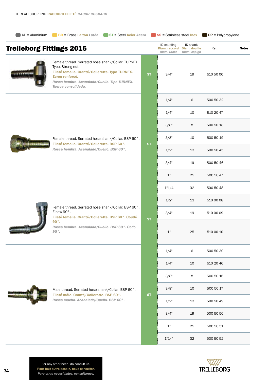| $\bigcup$ AL = Aluminium        | BR = Brass Laiton Latón ST = Steel Acier Acero                                                                                                                                                                      |           | SS = Stainless steel lnox                                 |                          | $\blacksquare$ PP = Polypropylene |              |
|---------------------------------|---------------------------------------------------------------------------------------------------------------------------------------------------------------------------------------------------------------------|-----------|-----------------------------------------------------------|--------------------------|-----------------------------------|--------------|
| <b>Trelleborg Fittings 2015</b> |                                                                                                                                                                                                                     |           | ID coupling<br>Diam. raccord Diam. douille<br>Diam. racor | ID shank<br>Diam. espiga | Ref.                              | <b>Notes</b> |
|                                 | Female thread. Serrated hose shank/Collar. TURNEX<br>Type. Strong nut.<br>Fileté femelle. Cranté/Collerette. Type TURNEX.<br>Ecrou renforcé.<br>Rosca hembra. Acanalado/Cuello. Tipo TURNEX.<br>Tuerca consolidada. | <b>ST</b> | 3/4"                                                      | 19                       | 510 50 00                         |              |
|                                 |                                                                                                                                                                                                                     |           | 1/4"                                                      | 6                        | 500 50 32                         |              |
|                                 |                                                                                                                                                                                                                     |           | 1/4"                                                      | 10                       | 510 20 47                         |              |
|                                 |                                                                                                                                                                                                                     |           | 3/8"                                                      | 8                        | 500 50 18                         |              |
|                                 | Female thread. Serrated hose shank/Collar. BSP 60°.                                                                                                                                                                 |           | 3/8"                                                      | 10                       | 500 50 19                         |              |
|                                 | Fileté femelle. Cranté/Collerette. BSP 60°.<br>Rosca hembra. Acanalado/Cuello. BSP 60°.                                                                                                                             | <b>ST</b> | 1/2"                                                      | 13                       | 500 50 45                         |              |
|                                 |                                                                                                                                                                                                                     |           | 3/4"                                                      | 19                       | 500 50 46                         |              |
|                                 |                                                                                                                                                                                                                     |           | 1"                                                        | 25                       | 500 50 47                         |              |
|                                 |                                                                                                                                                                                                                     |           | 1"1/4                                                     | 32                       | 500 50 48                         |              |
|                                 |                                                                                                                                                                                                                     |           | 1/2"                                                      | 13                       | 510 00 08                         |              |
|                                 | Female thread. Serrated hose shank/Collar. BSP 60°.<br>Elbow 90°.<br>Fileté femelle. Cranté/Collerette. BSP 60°. Coudé                                                                                              |           | 3/4"<br>19                                                | 510 00 09                |                                   |              |
|                                 | $90^\circ$ .<br>Rosca hembra. Acanalado/Cuello. BSP 60°. Codo<br>$90^{\circ}$ .                                                                                                                                     | <b>ST</b> | $1"$                                                      | 25                       | 510 00 10                         |              |
|                                 |                                                                                                                                                                                                                     |           | 1/4"                                                      | 6                        | 500 50 30                         |              |
|                                 |                                                                                                                                                                                                                     |           | 1/4"                                                      | 10                       | 510 20 46                         |              |
|                                 |                                                                                                                                                                                                                     |           | 3/8"                                                      | 8                        | 500 50 16                         |              |
|                                 | Male thread. Serrated hose shank/Collar. BSP 60°.                                                                                                                                                                   |           | 3/8"                                                      | 10                       | 500 50 17                         |              |
|                                 | Fileté mâle. Cranté/Collerette. BSP 60°.<br>Rosca macho. Acanalado/Cuello. BSP 60°.                                                                                                                                 | <b>ST</b> | 1/2"                                                      | 13                       | 500 50 49                         |              |
|                                 |                                                                                                                                                                                                                     |           | 3/4"                                                      | 19                       | 500 50 50                         |              |
|                                 |                                                                                                                                                                                                                     |           | $1"$                                                      | 25                       | 500 50 51                         |              |
|                                 |                                                                                                                                                                                                                     |           | 1"1/4<br>32                                               | 500 50 52                |                                   |              |



For any other need, do consult us. Pour tout autre besoin, nous consulter. *Para otras necesidades, consultarnos.* 74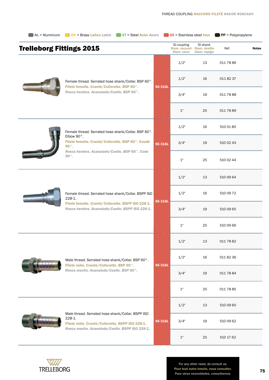|                                 | AL = Aluminium BR = Brass Laiton Latón ST = Steel Acier Acero                                                  |                                                   | SS = Stainless steel lnox                   |                                           | $\blacksquare$ PP = Polypropylene |                        |
|---------------------------------|----------------------------------------------------------------------------------------------------------------|---------------------------------------------------|---------------------------------------------|-------------------------------------------|-----------------------------------|------------------------|
| <b>Trelleborg Fittings 2015</b> |                                                                                                                |                                                   | ID coupling<br>Diam. raccord<br>Diam. racor | ID shank<br>Diam. douille<br>Diam. espiga | Ref.                              | <b>Notes</b>           |
|                                 |                                                                                                                |                                                   | 1/2"                                        | 13                                        | 011 78 86                         |                        |
|                                 | Female thread. Serrated hose shank/Collar. BSP 60°.                                                            |                                                   | 1/2"                                        | 16                                        | 011 82 37                         |                        |
|                                 | Fileté femelle. Cranté/Collerette. BSP 60°.<br>Rosca hembra. Acanalado/Cuello. BSP 60°.                        | <b>SS 316L</b>                                    | 3/4"                                        | 19                                        | 011 78 88                         |                        |
|                                 |                                                                                                                |                                                   | 1"                                          | 25                                        | 011 78 89                         |                        |
|                                 | Female thread. Serrated hose shank/Collar. BSP 60°.                                                            |                                                   | 1/2"                                        | 510 01 80<br>16                           |                                   |                        |
|                                 | Elbow 90°.<br>Fileté femelle. Cranté/Collerette. BSP 60°. Coudé<br>$90^\circ$ .                                | <b>SS 316L</b>                                    | 3/4"                                        | 19                                        | 510 02 43                         |                        |
|                                 | Rosca hembra. Acanalado/Cuello. BSP 60°. Codo<br>$90^{\circ}$ .                                                |                                                   | 1"                                          | 25                                        | 510 02 44                         |                        |
|                                 |                                                                                                                |                                                   | 1/2"                                        | 13                                        | 510 09 64<br>510 09 72            |                        |
|                                 | Female thread. Serrated hose shank/Collar. BSPP ISO<br>228-1.                                                  |                                                   | 1/2"                                        | 16                                        |                                   |                        |
|                                 | Fileté femelle. Cranté/Collerette. BSPP ISO 228-1.<br>Rosca hembra. Acanalado/Cuello. BSPP ISO 228-1.          | <b>SS 316L</b>                                    | 3/4"                                        | 19                                        | 510 09 65                         |                        |
|                                 |                                                                                                                |                                                   | 1"                                          | 25                                        | 510 09 66                         |                        |
|                                 |                                                                                                                | 1/2"                                              | 13                                          | 011 78 82                                 |                                   |                        |
|                                 |                                                                                                                | Male thread. Serrated hose shank/Collar. BSP 60°. |                                             | 1/2"                                      | 16                                | 011 82 36<br>011 78 84 |
|                                 | Fileté mâle. Cranté/Collerette. BSP 60°.<br>Rosca macho. Acanalado/Cuello. BSP 60°.                            | <b>SS 316L</b>                                    | 3/4"                                        | 19                                        |                                   |                        |
|                                 |                                                                                                                |                                                   | 1"                                          | 25                                        | 011 78 85                         |                        |
|                                 |                                                                                                                |                                                   | 1/2"                                        | 13                                        | 510 09 60                         |                        |
|                                 | Male thread. Serrated hose shank/Collar. BSPP ISO<br>228-1.<br>Fileté mâle. Cranté/Collerette. BSPP ISO 228-1. | <b>SS 316L</b>                                    | 3/4"                                        | 19                                        | 510 09 62                         |                        |
|                                 | Rosca macho. Acanalado/Cuello. BSPP ISO 228-1.                                                                 |                                                   |                                             |                                           |                                   |                        |



For any other need, do consult us. Pour tout autre besoin, nous consulter. *Para otras necesidades, consultarnos.* 75

1" 25 510 17 62